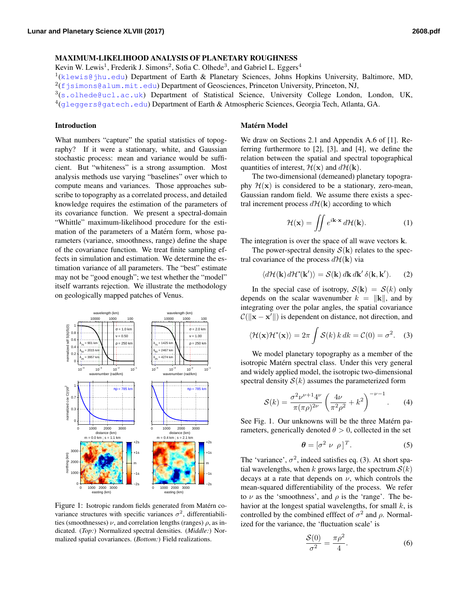## MAXIMUM-LIKELIHOOD ANALYSIS OF PLANETARY ROUGHNESS

Kevin W. Lewis<sup>1</sup>, Frederik J. Simons<sup>2</sup>, Sofia C. Olhede<sup>3</sup>, and Gabriel L. Eggers<sup>4</sup>

<sup>1</sup>(<klewis@jhu.edu>) Department of Earth & Planetary Sciences, Johns Hopkins University, Baltimore, MD,

 $2(f$ jsimons@alum.mit.edu) Department of Geosciences, Princeton University, Princeton, NJ,

3(<s.olhede@ucl.ac.uk>) Department of Statistical Science, University College London, London, UK,  $^4$ (<gleggers@gatech.edu>) Department of Earth & Atmospheric Sciences, Georgia Tech, Atlanta, GA.

## Introduction

What numbers "capture" the spatial statistics of topography? If it were a stationary, white, and Gaussian stochastic process: mean and variance would be sufficient. But "whiteness" is a strong assumption. Most analysis methods use varying "baselines" over which to compute means and variances. Those approaches subscribe to topography as a correlated process, and detailed knowledge requires the estimation of the parameters of its covariance function. We present a spectral-domain "Whittle" maximum-likelihood procedure for the estimation of the parameters of a Matérn form, whose parameters (variance, smoothness, range) define the shape of the covariance function. We treat finite sampling effects in simulation and estimation. We determine the estimation variance of all parameters. The "best" estimate may not be "good enough"; we test whether the "model" itself warrants rejection. We illustrate the methodology on geologically mapped patches of Venus.



<span id="page-0-0"></span>Figure 1: Isotropic random fields generated from Matérn covariance structures with specific variances  $\sigma^2$ , differentiabilities (smoothnesses)  $\nu$ , and correlation lengths (ranges)  $\rho$ , as indicated. (*Top:*) Normalized spectral densities. (*Middle:*) Normalized spatial covariances. (*Bottom:*) Field realizations.

# **Matérn Model**

We draw on Sections 2.1 and Appendix A.6 of [\[1\]](#page-1-0). Referring furthermore to [\[2\]](#page-1-1), [\[3\]](#page-1-2), and [\[4\]](#page-1-3), we define the relation between the spatial and spectral topographical quantities of interest,  $\mathcal{H}(\mathbf{x})$  and  $d\mathcal{H}(\mathbf{k})$ .

The two-dimensional (demeaned) planetary topography  $\mathcal{H}(\mathbf{x})$  is considered to be a stationary, zero-mean, Gaussian random field. We assume there exists a spectral increment process  $d\mathcal{H}(\mathbf{k})$  according to which

<span id="page-0-2"></span>
$$
\mathcal{H}(\mathbf{x}) = \iint e^{i\mathbf{k}\cdot\mathbf{x}} d\mathcal{H}(\mathbf{k}).
$$
 (1)

The integration is over the space of all wave vectors k.

The power-spectral density  $S(\mathbf{k})$  relates to the spectral covariance of the process  $d\mathcal{H}(\mathbf{k})$  via

<span id="page-0-4"></span>
$$
\langle d\mathcal{H}(\mathbf{k}) d\mathcal{H}^*(\mathbf{k}') \rangle = \mathcal{S}(\mathbf{k}) d\mathbf{k} d\mathbf{k}' \,\delta(\mathbf{k}, \mathbf{k}'). \tag{2}
$$

 $\mathcal{C}(\|\mathbf{x} - \mathbf{x}^{\prime}\|)$  is dependent on distance, not direction, and In the special case of isotropy,  $S(\mathbf{k}) = S(k)$  only depends on the scalar wavenumber  $k = ||\mathbf{k}||$ , and by integrating over the polar angles, the spatial covariance

<span id="page-0-1"></span>
$$
\langle \mathcal{H}(\mathbf{x}) \mathcal{H}^*(\mathbf{x}) \rangle = 2\pi \int \mathcal{S}(k) \, k \, dk = \mathcal{C}(0) = \sigma^2. \tag{3}
$$

and widely applied model, the isotropic two-dimensional isotropic Matérn spectral class. Under this very general We model planetary topography as a member of the spectral density  $S(k)$  assumes the parameterized form

<span id="page-0-3"></span>
$$
S(k) = \frac{\sigma^2 \nu^{\nu+1} 4^{\nu}}{\pi (\pi \rho)^{2\nu}} \left( \frac{4\nu}{\pi^2 \rho^2} + k^2 \right)^{-\nu-1}.
$$
 (4)

rameters, generically denoted  $\theta > 0$ , collected in the set See Fig. [1.](#page-0-0) Our unknowns will be the three Matérn pa-

$$
\boldsymbol{\theta} = [\sigma^2 \ \nu \ \rho]^T. \tag{5}
$$

to  $\nu$  as the 'smoothness', and  $\rho$  is the 'range'. The bemean-squared differentiability of the process. We refer decays at a rate that depends on  $\nu$ , which controls the The 'variance',  $\sigma^2$ , indeed satisfies eq. [\(3\)](#page-0-1). At short spatial wavelengths, when k grows large, the spectrum  $S(k)$ havior at the longest spatial wavelengths, for small  $k$ , is controlled by the combined effect of  $\sigma^2$  and  $\rho$ . Normalized for the variance, the 'fluctuation scale' is

$$
\frac{\mathcal{S}(0)}{\sigma^2} = \frac{\pi \rho^2}{4}.
$$
\n(6)